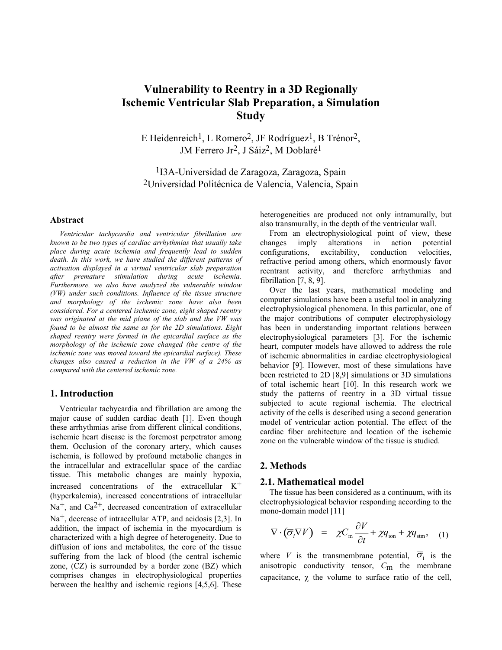# **Vulnerability to Reentry in a 3D Regionally Ischemic Ventricular Slab Preparation, a Simulation Study**

E Heidenreich<sup>1</sup>, L Romero<sup>2</sup>, JF Rodríguez<sup>1</sup>, B Trénor<sup>2</sup>, JM Ferrero Jr<sup>2</sup>, J Sáiz<sup>2</sup>, M Doblaré<sup>1</sup>

1I3A-Universidad de Zaragoza, Zaragoza, Spain 2Universidad Politécnica de Valencia, Valencia, Spain

#### **Abstract**

*Ventricular tachycardia and ventricular fibrillation are known to be two types of cardiac arrhythmias that usually take place during acute ischemia and frequently lead to sudden death. In this work, we have studied the different patterns of activation displayed in a virtual ventricular slab preparation after premature stimulation during acute ischemia. Furthermore, we also have analyzed the vulnerable window (VW) under such conditions. Influence of the tissue structure and morphology of the ischemic zone have also been considered. For a centered ischemic zone, eight shaped reentry was originated at the mid plane of the slab and the VW was found to be almost the same as for the 2D simulations. Eight shaped reentry were formed in the epicardial surface as the morphology of the ischemic zone changed (the centre of the ischemic zone was moved toward the epicardial surface). These changes also caused a reduction in the VW of a 24% as compared with the centered ischemic zone.* 

## **1. Introduction**

Ventricular tachycardia and fibrillation are among the major cause of sudden cardiac death [1]. Even though these arrhythmias arise from different clinical conditions, ischemic heart disease is the foremost perpetrator among them. Occlusion of the coronary artery, which causes ischemia, is followed by profound metabolic changes in the intracellular and extracellular space of the cardiac tissue. This metabolic changes are mainly hypoxia, increased concentrations of the extracellular  $K^+$ (hyperkalemia), increased concentrations of intracellular  $Na<sup>+</sup>$ , and  $Ca<sup>2+</sup>$ , decreased concentration of extracellular  $Na<sup>+</sup>$ , decrease of intracellular ATP, and acidosis [2,3]. In addition, the impact of ischemia in the myocardium is characterized with a high degree of heterogeneity. Due to diffusion of ions and metabolites, the core of the tissue suffering from the lack of blood (the central ischemic zone, (CZ) is surrounded by a border zone (BZ) which comprises changes in electrophysiological properties between the healthy and ischemic regions [4,5,6]. These

heterogeneities are produced not only intramurally, but also transmurally, in the depth of the ventricular wall.

From an electrophysiological point of view, these changes imply alterations in action potential configurations, excitability, conduction velocities, refractive period among others, which enormously favor reentrant activity, and therefore arrhythmias and fibrillation [7, 8, 9].

Over the last years, mathematical modeling and computer simulations have been a useful tool in analyzing electrophysiological phenomena. In this particular, one of the major contributions of computer electrophysiology has been in understanding important relations between electrophysiological parameters [3]. For the ischemic heart, computer models have allowed to address the role of ischemic abnormalities in cardiac electrophysiological behavior [9]. However, most of these simulations have been restricted to 2D [8,9] simulations or 3D simulations of total ischemic heart [10]. In this research work we study the patterns of reentry in a 3D virtual tissue subjected to acute regional ischemia. The electrical activity of the cells is described using a second generation model of ventricular action potential. The effect of the cardiac fiber architecture and location of the ischemic zone on the vulnerable window of the tissue is studied.

### **2. Methods**

### **2.1. Mathematical model**

The tissue has been considered as a continuum, with its electrophysiological behavior responding according to the mono-domain model [11]

$$
\nabla \cdot (\overline{\sigma}_i \nabla V) = \chi C_{\text{m}} \frac{\partial V}{\partial t} + \chi q_{\text{ion}} + \chi q_{\text{sm}}, \quad (1)
$$

where *V* is the transmembrane potential,  $\overline{\sigma}_{i}$  is the anisotropic conductivity tensor, *C*m the membrane capacitance,  $\chi$  the volume to surface ratio of the cell,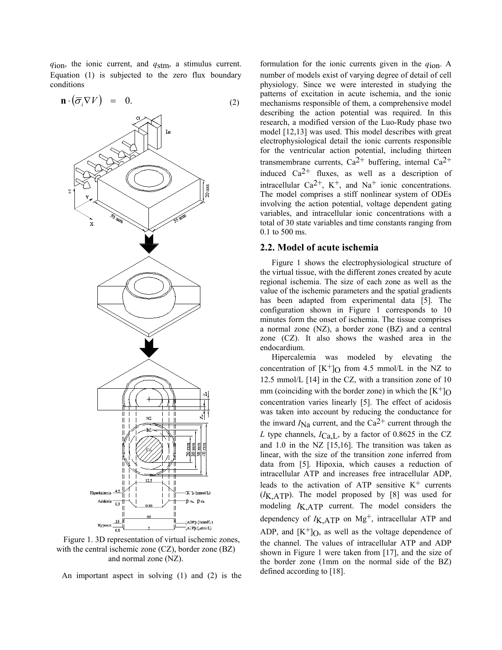*q*ion, the ionic current, and *q*stm, a stimulus current. Equation (1) is subjected to the zero flux boundary conditions



Figure 1. 3D representation of virtual ischemic zones, with the central ischemic zone (CZ), border zone (BZ) and normal zone (NZ).

An important aspect in solving (1) and (2) is the

formulation for the ionic currents given in the *q*ion. A number of models exist of varying degree of detail of cell physiology. Since we were interested in studying the patterns of excitation in acute ischemia, and the ionic mechanisms responsible of them, a comprehensive model describing the action potential was required. In this research, a modified version of the Luo-Rudy phase two model [12,13] was used. This model describes with great electrophysiological detail the ionic currents responsible for the ventricular action potential, including thirteen transmembrane currents,  $Ca^{2+}$  buffering, internal  $Ca^{2+}$ induced  $Ca^{2+}$  fluxes, as well as a description of intracellular Ca<sup>2+</sup>, K<sup>+</sup>, and Na<sup>+</sup> ionic concentrations. The model comprises a stiff nonlinear system of ODEs involving the action potential, voltage dependent gating variables, and intracellular ionic concentrations with a total of 30 state variables and time constants ranging from 0.1 to 500 ms.

# **2.2. Model of acute ischemia**

Figure 1 shows the electrophysiological structure of the virtual tissue, with the different zones created by acute regional ischemia. The size of each zone as well as the value of the ischemic parameters and the spatial gradients has been adapted from experimental data [5]. The configuration shown in Figure 1 corresponds to 10 minutes form the onset of ischemia. The tissue comprises a normal zone (NZ), a border zone (BZ) and a central zone (CZ). It also shows the washed area in the endocardium.

Hipercalemia was modeled by elevating the concentration of  $[K^+]_O$  from 4.5 mmol/L in the NZ to 12.5 mmol/L [14] in the CZ, with a transition zone of 10 mm (coinciding with the border zone) in which the  $[K^+]_O$ concentration varies linearly [5]. The effect of acidosis was taken into account by reducing the conductance for the inward  $I_{\text{Na}}$  current, and the Ca<sup>2+</sup> current through the *L* type channels, *I*Ca,L, by a factor of 0.8625 in the CZ and 1.0 in the NZ [15,16]. The transition was taken as linear, with the size of the transition zone inferred from data from [5]. Hipoxia, which causes a reduction of intracellular ATP and increases free intracellular ADP, leads to the activation of ATP sensitive  $K^+$  currents (*I*K,ATP). The model proposed by [8] was used for modeling *I*K,ATP current. The model considers the dependency of  $I_{K,ATP}$  on  $Mg^{+}$ , intracellular ATP and ADP, and  $[K^+]_0$ , as well as the voltage dependence of the channel. The values of intracellular ATP and ADP shown in Figure 1 were taken from [17], and the size of the border zone (1mm on the normal side of the BZ) defined according to [18].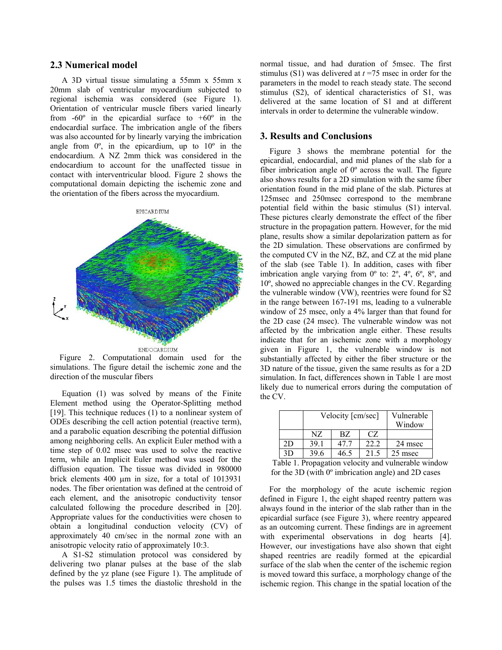# **2.3 Numerical model**

A 3D virtual tissue simulating a 55mm x 55mm x 20mm slab of ventricular myocardium subjected to regional ischemia was considered (see Figure 1). Orientation of ventricular muscle fibers varied linearly from  $-60^\circ$  in the epicardial surface to  $+60^\circ$  in the endocardial surface. The imbrication angle of the fibers was also accounted for by linearly varying the imbrication angle from  $0^\circ$ , in the epicardium, up to  $10^\circ$  in the endocardium. A NZ 2mm thick was considered in the endocardium to account for the unaffected tissue in contact with interventricular blood. Figure 2 shows the computational domain depicting the ischemic zone and the orientation of the fibers across the myocardium.



Figure 2. Computational domain used for the simulations. The figure detail the ischemic zone and the direction of the muscular fibers

Equation (1) was solved by means of the Finite Element method using the Operator-Splitting method [19]. This technique reduces (1) to a nonlinear system of ODEs describing the cell action potential (reactive term), and a parabolic equation describing the potential diffusion among neighboring cells. An explicit Euler method with a time step of 0.02 msec was used to solve the reactive term, while an Implicit Euler method was used for the diffusion equation. The tissue was divided in 980000 brick elements 400 μm in size, for a total of 1013931 nodes. The fiber orientation was defined at the centroid of each element, and the anisotropic conductivity tensor calculated following the procedure described in [20]. Appropriate values for the conductivities were chosen to obtain a longitudinal conduction velocity (CV) of approximately 40 cm/sec in the normal zone with an anisotropic velocity ratio of approximately 10:3.

A S1-S2 stimulation protocol was considered by delivering two planar pulses at the base of the slab defined by the yz plane (see Figure 1). The amplitude of the pulses was 1.5 times the diastolic threshold in the

normal tissue, and had duration of 5msec. The first stimulus (S1) was delivered at *t* =75 msec in order for the parameters in the model to reach steady state. The second stimulus (S2), of identical characteristics of S1, was delivered at the same location of S1 and at different intervals in order to determine the vulnerable window.

# **3. Results and Conclusions**

Figure 3 shows the membrane potential for the epicardial, endocardial, and mid planes of the slab for a fiber imbrication angle of  $0^{\circ}$  across the wall. The figure also shows results for a 2D simulation with the same fiber orientation found in the mid plane of the slab. Pictures at 125msec and 250msec correspond to the membrane potential field within the basic stimulus (S1) interval. These pictures clearly demonstrate the effect of the fiber structure in the propagation pattern. However, for the mid plane, results show a similar depolarization pattern as for the 2D simulation. These observations are confirmed by the computed CV in the NZ, BZ, and CZ at the mid plane of the slab (see Table 1). In addition, cases with fiber imbrication angle varying from  $0^{\circ}$  to:  $2^{\circ}$ ,  $4^{\circ}$ ,  $6^{\circ}$ ,  $8^{\circ}$ , and 10º, showed no appreciable changes in the CV. Regarding the vulnerable window (VW), reentries were found for S2 in the range between 167-191 ms, leading to a vulnerable window of 25 msec, only a 4% larger than that found for the 2D case (24 msec). The vulnerable window was not affected by the imbrication angle either. These results indicate that for an ischemic zone with a morphology given in Figure 1, the vulnerable window is not substantially affected by either the fiber structure or the 3D nature of the tissue, given the same results as for a 2D simulation. In fact, differences shown in Table 1 are most likely due to numerical errors during the computation of the CV.

|    | Velocity [cm/sec] |      |      | Vulnerable<br>Window |
|----|-------------------|------|------|----------------------|
|    | NZ.               | BZ.  | CZ.  |                      |
| 2D | 39.1              | 47 7 | 22.2 | 24 msec              |
| 3D | 39.6              | 46.5 | 21.5 | 25 msec              |

Table 1. Propagation velocity and vulnerable window for the 3D (with 0º imbrication angle) and 2D cases

For the morphology of the acute ischemic region defined in Figure 1, the eight shaped reentry pattern was always found in the interior of the slab rather than in the epicardial surface (see Figure 3), where reentry appeared as an outcoming current. These findings are in agreement with experimental observations in dog hearts [4]. However, our investigations have also shown that eight shaped reentries are readily formed at the epicardial surface of the slab when the center of the ischemic region is moved toward this surface, a morphology change of the ischemic region. This change in the spatial location of the